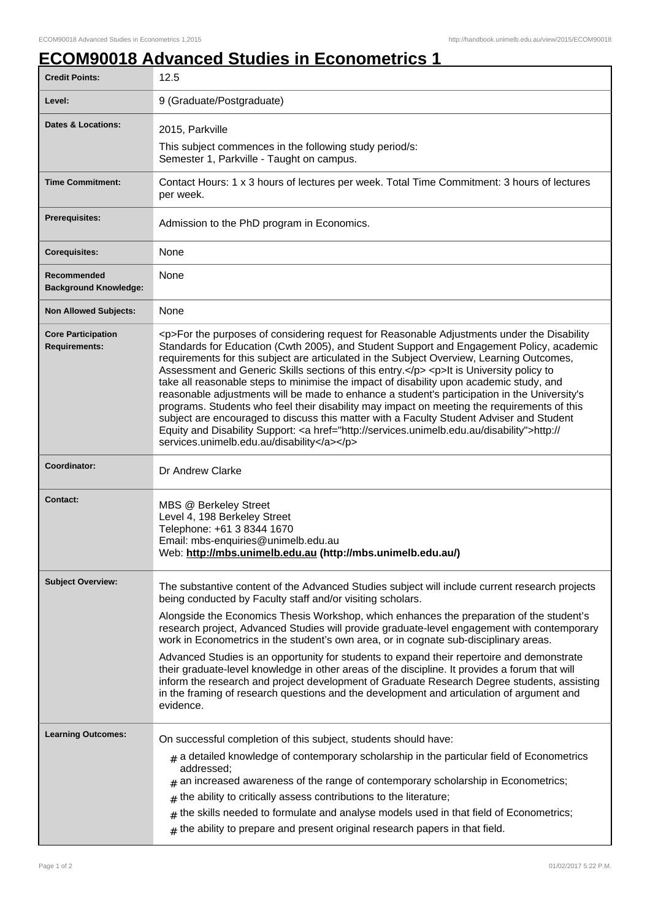## **ECOM90018 Advanced Studies in Econometrics 1**

| <b>Credit Points:</b>                             | 12.5                                                                                                                                                                                                                                                                                                                                                                                                                                                                                                                                                                                                                                                                                                                                                                                                                                                                                                                         |
|---------------------------------------------------|------------------------------------------------------------------------------------------------------------------------------------------------------------------------------------------------------------------------------------------------------------------------------------------------------------------------------------------------------------------------------------------------------------------------------------------------------------------------------------------------------------------------------------------------------------------------------------------------------------------------------------------------------------------------------------------------------------------------------------------------------------------------------------------------------------------------------------------------------------------------------------------------------------------------------|
| Level:                                            | 9 (Graduate/Postgraduate)                                                                                                                                                                                                                                                                                                                                                                                                                                                                                                                                                                                                                                                                                                                                                                                                                                                                                                    |
| <b>Dates &amp; Locations:</b>                     | 2015, Parkville                                                                                                                                                                                                                                                                                                                                                                                                                                                                                                                                                                                                                                                                                                                                                                                                                                                                                                              |
|                                                   | This subject commences in the following study period/s:<br>Semester 1, Parkville - Taught on campus.                                                                                                                                                                                                                                                                                                                                                                                                                                                                                                                                                                                                                                                                                                                                                                                                                         |
| <b>Time Commitment:</b>                           | Contact Hours: 1 x 3 hours of lectures per week. Total Time Commitment: 3 hours of lectures<br>per week.                                                                                                                                                                                                                                                                                                                                                                                                                                                                                                                                                                                                                                                                                                                                                                                                                     |
| <b>Prerequisites:</b>                             | Admission to the PhD program in Economics.                                                                                                                                                                                                                                                                                                                                                                                                                                                                                                                                                                                                                                                                                                                                                                                                                                                                                   |
| <b>Corequisites:</b>                              | None                                                                                                                                                                                                                                                                                                                                                                                                                                                                                                                                                                                                                                                                                                                                                                                                                                                                                                                         |
| Recommended<br><b>Background Knowledge:</b>       | None                                                                                                                                                                                                                                                                                                                                                                                                                                                                                                                                                                                                                                                                                                                                                                                                                                                                                                                         |
| <b>Non Allowed Subjects:</b>                      | None                                                                                                                                                                                                                                                                                                                                                                                                                                                                                                                                                                                                                                                                                                                                                                                                                                                                                                                         |
| <b>Core Participation</b><br><b>Requirements:</b> | <p>For the purposes of considering request for Reasonable Adjustments under the Disability<br/>Standards for Education (Cwth 2005), and Student Support and Engagement Policy, academic<br/>requirements for this subject are articulated in the Subject Overview, Learning Outcomes,<br/>Assessment and Generic Skills sections of this entry.</p> <p>It is University policy to<br/>take all reasonable steps to minimise the impact of disability upon academic study, and<br/>reasonable adjustments will be made to enhance a student's participation in the University's<br/>programs. Students who feel their disability may impact on meeting the requirements of this<br/>subject are encouraged to discuss this matter with a Faculty Student Adviser and Student<br/>Equity and Disability Support: &lt; a href="http://services.unimelb.edu.au/disability"&gt;http://<br/>services.unimelb.edu.au/disability</p> |
| Coordinator:                                      | Dr Andrew Clarke                                                                                                                                                                                                                                                                                                                                                                                                                                                                                                                                                                                                                                                                                                                                                                                                                                                                                                             |
| <b>Contact:</b>                                   | MBS @ Berkeley Street<br>Level 4, 198 Berkeley Street<br>Telephone: +61 3 8344 1670<br>Email: mbs-enquiries@unimelb.edu.au<br>Web: http://mbs.unimelb.edu.au (http://mbs.unimelb.edu.au/)                                                                                                                                                                                                                                                                                                                                                                                                                                                                                                                                                                                                                                                                                                                                    |
| <b>Subject Overview:</b>                          | The substantive content of the Advanced Studies subject will include current research projects<br>being conducted by Faculty staff and/or visiting scholars.                                                                                                                                                                                                                                                                                                                                                                                                                                                                                                                                                                                                                                                                                                                                                                 |
|                                                   | Alongside the Economics Thesis Workshop, which enhances the preparation of the student's<br>research project, Advanced Studies will provide graduate-level engagement with contemporary<br>work in Econometrics in the student's own area, or in cognate sub-disciplinary areas.                                                                                                                                                                                                                                                                                                                                                                                                                                                                                                                                                                                                                                             |
|                                                   | Advanced Studies is an opportunity for students to expand their repertoire and demonstrate<br>their graduate-level knowledge in other areas of the discipline. It provides a forum that will<br>inform the research and project development of Graduate Research Degree students, assisting<br>in the framing of research questions and the development and articulation of argument and<br>evidence.                                                                                                                                                                                                                                                                                                                                                                                                                                                                                                                        |
| <b>Learning Outcomes:</b>                         | On successful completion of this subject, students should have:                                                                                                                                                                                                                                                                                                                                                                                                                                                                                                                                                                                                                                                                                                                                                                                                                                                              |
|                                                   | $_{\text{\#}}$ a detailed knowledge of contemporary scholarship in the particular field of Econometrics<br>addressed;<br>$#$ an increased awareness of the range of contemporary scholarship in Econometrics;<br>the ability to critically assess contributions to the literature;<br>#<br>the skills needed to formulate and analyse models used in that field of Econometrics;<br>$#$ the ability to prepare and present original research papers in that field.                                                                                                                                                                                                                                                                                                                                                                                                                                                           |